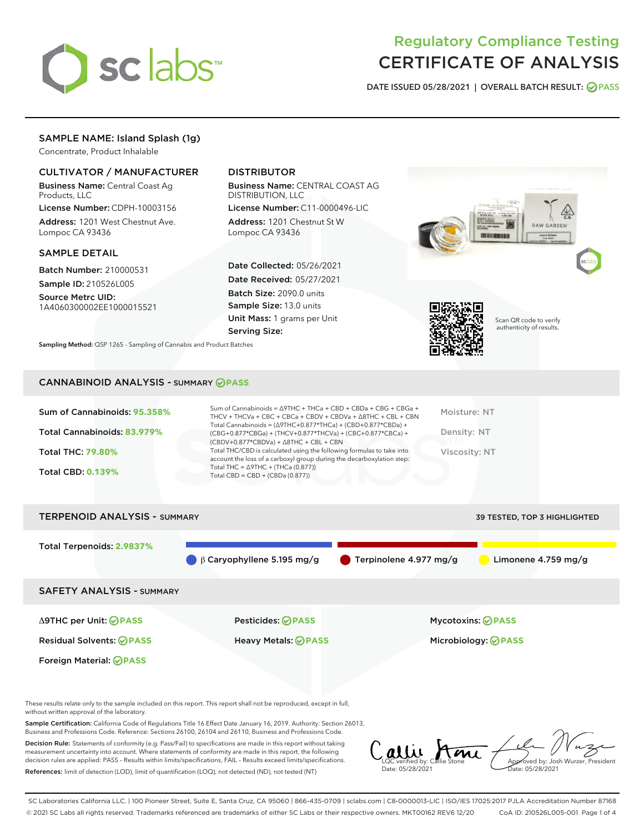

# Regulatory Compliance Testing CERTIFICATE OF ANALYSIS

DATE ISSUED 05/28/2021 | OVERALL BATCH RESULT: @ PASS

## SAMPLE NAME: Island Splash (1g)

Concentrate, Product Inhalable

## CULTIVATOR / MANUFACTURER

Business Name: Central Coast Ag Products, LLC

License Number: CDPH-10003156 Address: 1201 West Chestnut Ave. Lompoc CA 93436

#### SAMPLE DETAIL

Batch Number: 210000531 Sample ID: 210526L005

Source Metrc UID: 1A4060300002EE1000015521

## DISTRIBUTOR

Business Name: CENTRAL COAST AG DISTRIBUTION, LLC

License Number: C11-0000496-LIC Address: 1201 Chestnut St W Lompoc CA 93436

Date Collected: 05/26/2021 Date Received: 05/27/2021 Batch Size: 2090.0 units Sample Size: 13.0 units Unit Mass: 1 grams per Unit Serving Size:

Sampling Method: QSP 1265 - Sampling of Cannabis and Product Batches





Scan QR code to verify authenticity of results.

### CANNABINOID ANALYSIS - SUMMARY **PASS**

| Sum of Cannabinoids: 95.358% | Sum of Cannabinoids = $\triangle$ 9THC + THCa + CBD + CBDa + CBG + CBGa +<br>THCV + THCVa + CBC + CBCa + CBDV + CBDVa + $\Delta$ 8THC + CBL + CBN                                    | Moisture: NT  |
|------------------------------|--------------------------------------------------------------------------------------------------------------------------------------------------------------------------------------|---------------|
| Total Cannabinoids: 83.979%  | Total Cannabinoids = $(\Delta$ 9THC+0.877*THCa) + (CBD+0.877*CBDa) +<br>(CBG+0.877*CBGa) + (THCV+0.877*THCVa) + (CBC+0.877*CBCa) +<br>$(CBDV+0.877*CBDVa) + \Delta 8THC + CBL + CBN$ | Density: NT   |
| <b>Total THC: 79.80%</b>     | Total THC/CBD is calculated using the following formulas to take into<br>account the loss of a carboxyl group during the decarboxylation step:                                       | Viscosity: NT |
| <b>Total CBD: 0.139%</b>     | Total THC = $\triangle$ 9THC + (THCa (0.877))<br>Total CBD = $CBD + (CBDa (0.877))$                                                                                                  |               |
|                              |                                                                                                                                                                                      |               |

| <b>TERPENOID ANALYSIS - SUMMARY</b> | 39 TESTED, TOP 3 HIGHLIGHTED     |                        |                            |
|-------------------------------------|----------------------------------|------------------------|----------------------------|
| Total Terpenoids: 2.9837%           | $\beta$ Caryophyllene 5.195 mg/g | Terpinolene 4.977 mg/g | Limonene $4.759$ mg/g      |
| <b>SAFETY ANALYSIS - SUMMARY</b>    |                                  |                        |                            |
| ∆9THC per Unit: ⊘PASS               | <b>Pesticides: ⊘PASS</b>         | Mycotoxins: ⊘PASS      |                            |
| <b>Residual Solvents: ⊘PASS</b>     | <b>Heavy Metals: ⊘ PASS</b>      |                        | Microbiology: <b>OPASS</b> |
| Foreign Material: <b>⊘ PASS</b>     |                                  |                        |                            |

These results relate only to the sample included on this report. This report shall not be reproduced, except in full, without written approval of the laboratory.

Sample Certification: California Code of Regulations Title 16 Effect Date January 16, 2019. Authority: Section 26013, Business and Professions Code. Reference: Sections 26100, 26104 and 26110, Business and Professions Code.

Decision Rule: Statements of conformity (e.g. Pass/Fail) to specifications are made in this report without taking measurement uncertainty into account. Where statements of conformity are made in this report, the following decision rules are applied: PASS – Results within limits/specifications, FAIL – Results exceed limits/specifications. References: limit of detection (LOD), limit of quantification (LOQ), not detected (ND), not tested (NT)

 $\int_{\text{LOC}}$  verified by: Callie Stone Date: 05/28/2021 Approved by: Josh Wurzer, President ate: 05/28/2021

SC Laboratories California LLC. | 100 Pioneer Street, Suite E, Santa Cruz, CA 95060 | 866-435-0709 | sclabs.com | C8-0000013-LIC | ISO/IES 17025:2017 PJLA Accreditation Number 87168 © 2021 SC Labs all rights reserved. Trademarks referenced are trademarks of either SC Labs or their respective owners. MKT00162 REV6 12/20 CoA ID: 210526L005-001 Page 1 of 4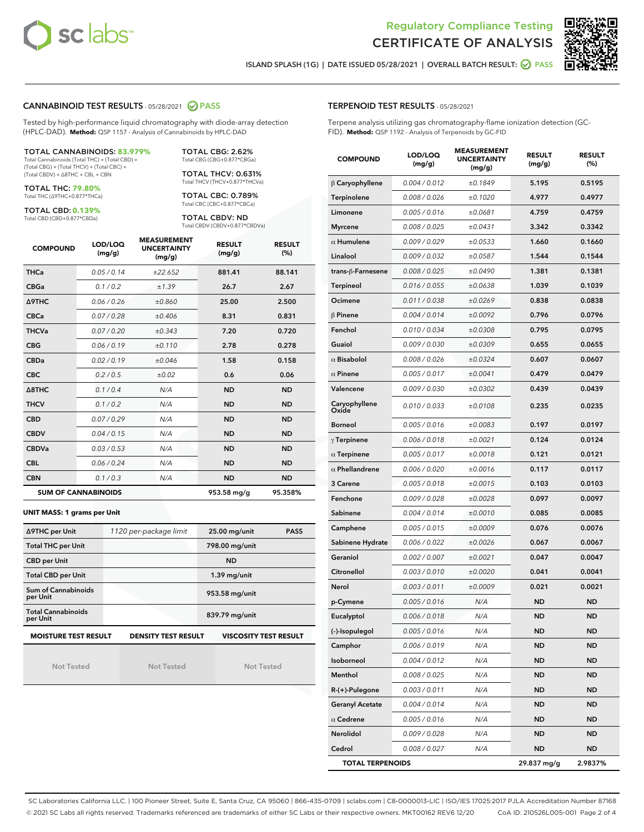



ISLAND SPLASH (1G) | DATE ISSUED 05/28/2021 | OVERALL BATCH RESULT: **⊘** PASS

#### CANNABINOID TEST RESULTS - 05/28/2021 2 PASS

Tested by high-performance liquid chromatography with diode-array detection (HPLC-DAD). **Method:** QSP 1157 - Analysis of Cannabinoids by HPLC-DAD

TOTAL CANNABINOIDS: **83.979%** Total Cannabinoids (Total THC) + (Total CBD) +

(Total CBG) + (Total THCV) + (Total CBC) + (Total CBDV) + ∆8THC + CBL + CBN

TOTAL THC: **79.80%** Total THC (∆9THC+0.877\*THCa)

TOTAL CBD: **0.139%**

Total CBD (CBD+0.877\*CBDa)

TOTAL CBG: 2.62% Total CBG (CBG+0.877\*CBGa)

TOTAL THCV: 0.631% Total THCV (THCV+0.877\*THCVa)

TOTAL CBC: 0.789% Total CBC (CBC+0.877\*CBCa)

TOTAL CBDV: ND Total CBDV (CBDV+0.877\*CBDVa)

| <b>COMPOUND</b>  | LOD/LOQ<br>(mg/g)          | <b>MEASUREMENT</b><br><b>UNCERTAINTY</b><br>(mg/g) | <b>RESULT</b><br>(mg/g) | <b>RESULT</b><br>(%) |
|------------------|----------------------------|----------------------------------------------------|-------------------------|----------------------|
| <b>THCa</b>      | 0.05/0.14                  | ±22.652                                            | 881.41                  | 88.141               |
| <b>CBGa</b>      | 0.1/0.2                    | ±1.39                                              | 26.7                    | 2.67                 |
| <b>A9THC</b>     | 0.06 / 0.26                | ±0.860                                             | 25.00                   | 2.500                |
| <b>CBCa</b>      | 0.07/0.28                  | ±0.406                                             | 8.31                    | 0.831                |
| <b>THCVa</b>     | 0.07/0.20                  | ±0.343                                             | 7.20                    | 0.720                |
| <b>CBG</b>       | 0.06/0.19                  | ±0.110                                             | 2.78                    | 0.278                |
| <b>CBDa</b>      | 0.02/0.19                  | ±0.046                                             | 1.58                    | 0.158                |
| <b>CBC</b>       | 0.2 / 0.5                  | ±0.02                                              | 0.6                     | 0.06                 |
| $\triangle$ 8THC | 0.1/0.4                    | N/A                                                | <b>ND</b>               | <b>ND</b>            |
| <b>THCV</b>      | 0.1/0.2                    | N/A                                                | <b>ND</b>               | <b>ND</b>            |
| <b>CBD</b>       | 0.07/0.29                  | N/A                                                | <b>ND</b>               | <b>ND</b>            |
| <b>CBDV</b>      | 0.04 / 0.15                | N/A                                                | <b>ND</b>               | <b>ND</b>            |
| <b>CBDVa</b>     | 0.03/0.53                  | N/A                                                | <b>ND</b>               | <b>ND</b>            |
| <b>CBL</b>       | 0.06 / 0.24                | N/A                                                | <b>ND</b>               | <b>ND</b>            |
| <b>CBN</b>       | 0.1/0.3                    | N/A                                                | <b>ND</b>               | <b>ND</b>            |
|                  | <b>SUM OF CANNABINOIDS</b> |                                                    | 953.58 mg/g             | 95.358%              |

#### **UNIT MASS: 1 grams per Unit**

| ∆9THC per Unit                        | 1120 per-package limit     | 25.00 mg/unit<br><b>PASS</b> |
|---------------------------------------|----------------------------|------------------------------|
| <b>Total THC per Unit</b>             |                            | 798.00 mg/unit               |
| <b>CBD per Unit</b>                   |                            | <b>ND</b>                    |
| <b>Total CBD per Unit</b>             |                            | $1.39$ mg/unit               |
| Sum of Cannabinoids<br>per Unit       |                            | 953.58 mg/unit               |
| <b>Total Cannabinoids</b><br>per Unit |                            | 839.79 mg/unit               |
| <b>MOISTURE TEST RESULT</b>           | <b>DENSITY TEST RESULT</b> | <b>VISCOSITY TEST RESULT</b> |

Not Tested

Not Tested

Not Tested

#### TERPENOID TEST RESULTS - 05/28/2021

Terpene analysis utilizing gas chromatography-flame ionization detection (GC-FID). **Method:** QSP 1192 - Analysis of Terpenoids by GC-FID

| <b>COMPOUND</b>         | LOD/LOQ<br>(mg/g) | <b>MEASUREMENT</b><br><b>UNCERTAINTY</b><br>(mg/g) | <b>RESULT</b><br>(mg/g) | <b>RESULT</b><br>$(\%)$ |
|-------------------------|-------------------|----------------------------------------------------|-------------------------|-------------------------|
| $\beta$ Caryophyllene   | 0.004 / 0.012     | ±0.1849                                            | 5.195                   | 0.5195                  |
| Terpinolene             | 0.008 / 0.026     | ±0.1020                                            | 4.977                   | 0.4977                  |
| Limonene                | 0.005 / 0.016     | ±0.0681                                            | 4.759                   | 0.4759                  |
| <b>Myrcene</b>          | 0.008 / 0.025     | ±0.0431                                            | 3.342                   | 0.3342                  |
| $\alpha$ Humulene       | 0.009/0.029       | ±0.0533                                            | 1.660                   | 0.1660                  |
| Linalool                | 0.009 / 0.032     | ±0.0587                                            | 1.544                   | 0.1544                  |
| trans-β-Farnesene       | 0.008 / 0.025     | ±0.0490                                            | 1.381                   | 0.1381                  |
| <b>Terpineol</b>        | 0.016 / 0.055     | ±0.0638                                            | 1.039                   | 0.1039                  |
| Ocimene                 | 0.011 / 0.038     | ±0.0269                                            | 0.838                   | 0.0838                  |
| $\beta$ Pinene          | 0.004 / 0.014     | ±0.0092                                            | 0.796                   | 0.0796                  |
| Fenchol                 | 0.010 / 0.034     | ±0.0308                                            | 0.795                   | 0.0795                  |
| Guaiol                  | 0.009 / 0.030     | ±0.0309                                            | 0.655                   | 0.0655                  |
| $\alpha$ Bisabolol      | 0.008 / 0.026     | ±0.0324                                            | 0.607                   | 0.0607                  |
| $\alpha$ Pinene         | 0.005 / 0.017     | ±0.0041                                            | 0.479                   | 0.0479                  |
| Valencene               | 0.009 / 0.030     | ±0.0302                                            | 0.439                   | 0.0439                  |
| Caryophyllene<br>Oxide  | 0.010 / 0.033     | ±0.0108                                            | 0.235                   | 0.0235                  |
| <b>Borneol</b>          | 0.005 / 0.016     | ±0.0083                                            | 0.197                   | 0.0197                  |
| $\gamma$ Terpinene      | 0.006 / 0.018     | ±0.0021                                            | 0.124                   | 0.0124                  |
| $\alpha$ Terpinene      | 0.005 / 0.017     | ±0.0018                                            | 0.121                   | 0.0121                  |
| $\alpha$ Phellandrene   | 0.006 / 0.020     | ±0.0016                                            | 0.117                   | 0.0117                  |
| 3 Carene                | 0.005 / 0.018     | ±0.0015                                            | 0.103                   | 0.0103                  |
| Fenchone                | 0.009 / 0.028     | ±0.0028                                            | 0.097                   | 0.0097                  |
| Sabinene                | 0.004 / 0.014     | ±0.0010                                            | 0.085                   | 0.0085                  |
| Camphene                | 0.005 / 0.015     | ±0.0009                                            | 0.076                   | 0.0076                  |
| Sabinene Hydrate        | 0.006 / 0.022     | ±0.0026                                            | 0.067                   | 0.0067                  |
| Geraniol                | 0.002 / 0.007     | ±0.0021                                            | 0.047                   | 0.0047                  |
| Citronellol             | 0.003 / 0.010     | ±0.0020                                            | 0.041                   | 0.0041                  |
| Nerol                   | 0.003 / 0.011     | ±0.0009                                            | 0.021                   | 0.0021                  |
| p-Cymene                | 0.005 / 0.016     | N/A                                                | ND                      | ND                      |
| Eucalyptol              | 0.006 / 0.018     | N/A                                                | <b>ND</b>               | <b>ND</b>               |
| (-)-Isopulegol          | 0.005 / 0.016     | N/A                                                | ND                      | ND                      |
| Camphor                 | 0.006 / 0.019     | N/A                                                | ND                      | ND                      |
| Isoborneol              | 0.004 / 0.012     | N/A                                                | ND                      | <b>ND</b>               |
| Menthol                 | 0.008 / 0.025     | N/A                                                | ND                      | ND                      |
| $R-(+)$ -Pulegone       | 0.003 / 0.011     | N/A                                                | ND                      | ND                      |
| <b>Geranyl Acetate</b>  | 0.004 / 0.014     | N/A                                                | ND                      | ND                      |
| $\alpha$ Cedrene        | 0.005 / 0.016     | N/A                                                | ND                      | ND                      |
| Nerolidol               | 0.009 / 0.028     | N/A                                                | ND                      | ND                      |
| Cedrol                  | 0.008 / 0.027     | N/A                                                | ND                      | ND                      |
| <b>TOTAL TERPENOIDS</b> |                   |                                                    | 29.837 mg/g             | 2.9837%                 |

SC Laboratories California LLC. | 100 Pioneer Street, Suite E, Santa Cruz, CA 95060 | 866-435-0709 | sclabs.com | C8-0000013-LIC | ISO/IES 17025:2017 PJLA Accreditation Number 87168 © 2021 SC Labs all rights reserved. Trademarks referenced are trademarks of either SC Labs or their respective owners. MKT00162 REV6 12/20 CoA ID: 210526L005-001 Page 2 of 4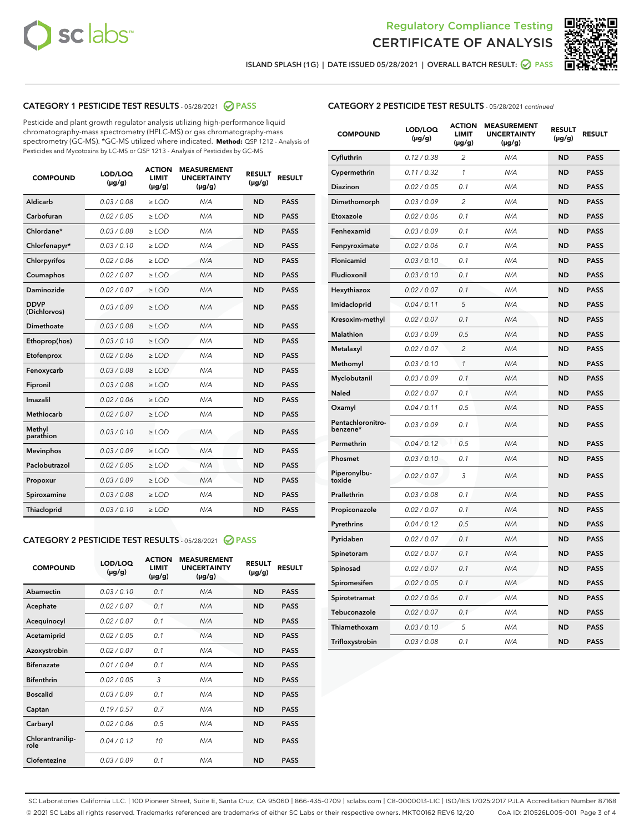



ISLAND SPLASH (1G) | DATE ISSUED 05/28/2021 | OVERALL BATCH RESULT: **⊘** PASS

## CATEGORY 1 PESTICIDE TEST RESULTS - 05/28/2021 2 PASS

Pesticide and plant growth regulator analysis utilizing high-performance liquid chromatography-mass spectrometry (HPLC-MS) or gas chromatography-mass spectrometry (GC-MS). \*GC-MS utilized where indicated. **Method:** QSP 1212 - Analysis of Pesticides and Mycotoxins by LC-MS or QSP 1213 - Analysis of Pesticides by GC-MS

| <b>COMPOUND</b>             | LOD/LOQ<br>$(\mu g/g)$ | <b>ACTION</b><br><b>LIMIT</b><br>$(\mu g/g)$ | <b>MEASUREMENT</b><br><b>UNCERTAINTY</b><br>$(\mu g/g)$ | <b>RESULT</b><br>$(\mu g/g)$ | <b>RESULT</b> |
|-----------------------------|------------------------|----------------------------------------------|---------------------------------------------------------|------------------------------|---------------|
| Aldicarb                    | 0.03 / 0.08            | $\geq$ LOD                                   | N/A                                                     | <b>ND</b>                    | <b>PASS</b>   |
| Carbofuran                  | 0.02/0.05              | $>$ LOD                                      | N/A                                                     | <b>ND</b>                    | <b>PASS</b>   |
| Chlordane*                  | 0.03 / 0.08            | $\ge$ LOD                                    | N/A                                                     | <b>ND</b>                    | <b>PASS</b>   |
| Chlorfenapyr*               | 0.03/0.10              | $>$ LOD                                      | N/A                                                     | <b>ND</b>                    | <b>PASS</b>   |
| Chlorpyrifos                | 0.02 / 0.06            | $\ge$ LOD                                    | N/A                                                     | <b>ND</b>                    | <b>PASS</b>   |
| Coumaphos                   | 0.02 / 0.07            | $\ge$ LOD                                    | N/A                                                     | <b>ND</b>                    | <b>PASS</b>   |
| Daminozide                  | 0.02 / 0.07            | $\ge$ LOD                                    | N/A                                                     | <b>ND</b>                    | <b>PASS</b>   |
| <b>DDVP</b><br>(Dichlorvos) | 0.03/0.09              | $\ge$ LOD                                    | N/A                                                     | <b>ND</b>                    | <b>PASS</b>   |
| Dimethoate                  | 0.03/0.08              | $>$ LOD                                      | N/A                                                     | <b>ND</b>                    | <b>PASS</b>   |
| Ethoprop(hos)               | 0.03/0.10              | $\ge$ LOD                                    | N/A                                                     | <b>ND</b>                    | <b>PASS</b>   |
| Etofenprox                  | 0.02 / 0.06            | $\ge$ LOD                                    | N/A                                                     | <b>ND</b>                    | <b>PASS</b>   |
| Fenoxycarb                  | 0.03 / 0.08            | $\ge$ LOD                                    | N/A                                                     | <b>ND</b>                    | <b>PASS</b>   |
| Fipronil                    | 0.03/0.08              | $>$ LOD                                      | N/A                                                     | <b>ND</b>                    | <b>PASS</b>   |
| Imazalil                    | 0.02 / 0.06            | $\ge$ LOD                                    | N/A                                                     | <b>ND</b>                    | <b>PASS</b>   |
| <b>Methiocarb</b>           | 0.02 / 0.07            | $\ge$ LOD                                    | N/A                                                     | <b>ND</b>                    | <b>PASS</b>   |
| Methyl<br>parathion         | 0.03/0.10              | $\ge$ LOD                                    | N/A                                                     | <b>ND</b>                    | <b>PASS</b>   |
| <b>Mevinphos</b>            | 0.03/0.09              | $>$ LOD                                      | N/A                                                     | <b>ND</b>                    | <b>PASS</b>   |
| Paclobutrazol               | 0.02 / 0.05            | $\ge$ LOD                                    | N/A                                                     | <b>ND</b>                    | <b>PASS</b>   |
| Propoxur                    | 0.03/0.09              | $\ge$ LOD                                    | N/A                                                     | <b>ND</b>                    | <b>PASS</b>   |
| Spiroxamine                 | 0.03 / 0.08            | $\ge$ LOD                                    | N/A                                                     | <b>ND</b>                    | <b>PASS</b>   |
| Thiacloprid                 | 0.03/0.10              | $\ge$ LOD                                    | N/A                                                     | <b>ND</b>                    | <b>PASS</b>   |

#### CATEGORY 2 PESTICIDE TEST RESULTS - 05/28/2021 @ PASS

| <b>COMPOUND</b>          | LOD/LOQ<br>$(\mu g/g)$ | <b>ACTION</b><br><b>LIMIT</b><br>$(\mu g/g)$ | <b>MEASUREMENT</b><br><b>UNCERTAINTY</b><br>$(\mu g/g)$ | <b>RESULT</b><br>$(\mu g/g)$ | <b>RESULT</b> |
|--------------------------|------------------------|----------------------------------------------|---------------------------------------------------------|------------------------------|---------------|
| Abamectin                | 0.03/0.10              | 0.1                                          | N/A                                                     | <b>ND</b>                    | <b>PASS</b>   |
| Acephate                 | 0.02/0.07              | 0.1                                          | N/A                                                     | <b>ND</b>                    | <b>PASS</b>   |
| Acequinocyl              | 0.02/0.07              | 0.1                                          | N/A                                                     | <b>ND</b>                    | <b>PASS</b>   |
| Acetamiprid              | 0.02/0.05              | 0.1                                          | N/A                                                     | <b>ND</b>                    | <b>PASS</b>   |
| Azoxystrobin             | 0.02/0.07              | 0.1                                          | N/A                                                     | <b>ND</b>                    | <b>PASS</b>   |
| <b>Bifenazate</b>        | 0.01/0.04              | 0.1                                          | N/A                                                     | <b>ND</b>                    | <b>PASS</b>   |
| <b>Bifenthrin</b>        | 0.02 / 0.05            | 3                                            | N/A                                                     | <b>ND</b>                    | <b>PASS</b>   |
| <b>Boscalid</b>          | 0.03/0.09              | 0.1                                          | N/A                                                     | <b>ND</b>                    | <b>PASS</b>   |
| Captan                   | 0.19/0.57              | 0.7                                          | N/A                                                     | <b>ND</b>                    | <b>PASS</b>   |
| Carbaryl                 | 0.02/0.06              | 0.5                                          | N/A                                                     | <b>ND</b>                    | <b>PASS</b>   |
| Chlorantranilip-<br>role | 0.04/0.12              | 10                                           | N/A                                                     | <b>ND</b>                    | <b>PASS</b>   |
| Clofentezine             | 0.03/0.09              | 0.1                                          | N/A                                                     | <b>ND</b>                    | <b>PASS</b>   |

## CATEGORY 2 PESTICIDE TEST RESULTS - 05/28/2021 continued

| <b>COMPOUND</b>               | LOD/LOQ<br>(µg/g) | <b>ACTION</b><br><b>LIMIT</b><br>(µg/g) | <b>MEASUREMENT</b><br><b>UNCERTAINTY</b><br>$(\mu g/g)$ | <b>RESULT</b><br>(µg/g) | <b>RESULT</b> |
|-------------------------------|-------------------|-----------------------------------------|---------------------------------------------------------|-------------------------|---------------|
| Cyfluthrin                    | 0.12 / 0.38       | $\overline{c}$                          | N/A                                                     | ND                      | <b>PASS</b>   |
| Cypermethrin                  | 0.11 / 0.32       | $\mathcal{I}$                           | N/A                                                     | ND                      | <b>PASS</b>   |
| <b>Diazinon</b>               | 0.02 / 0.05       | 0.1                                     | N/A                                                     | <b>ND</b>               | <b>PASS</b>   |
| Dimethomorph                  | 0.03 / 0.09       | 2                                       | N/A                                                     | <b>ND</b>               | <b>PASS</b>   |
| Etoxazole                     | 0.02 / 0.06       | 0.1                                     | N/A                                                     | <b>ND</b>               | <b>PASS</b>   |
| Fenhexamid                    | 0.03 / 0.09       | 0.1                                     | N/A                                                     | <b>ND</b>               | <b>PASS</b>   |
| Fenpyroximate                 | 0.02 / 0.06       | 0.1                                     | N/A                                                     | <b>ND</b>               | <b>PASS</b>   |
| Flonicamid                    | 0.03 / 0.10       | 0.1                                     | N/A                                                     | ND                      | <b>PASS</b>   |
| Fludioxonil                   | 0.03 / 0.10       | 0.1                                     | N/A                                                     | ND                      | <b>PASS</b>   |
| Hexythiazox                   | 0.02 / 0.07       | 0.1                                     | N/A                                                     | <b>ND</b>               | <b>PASS</b>   |
| Imidacloprid                  | 0.04 / 0.11       | 5                                       | N/A                                                     | <b>ND</b>               | <b>PASS</b>   |
| Kresoxim-methyl               | 0.02 / 0.07       | 0.1                                     | N/A                                                     | ND                      | <b>PASS</b>   |
| Malathion                     | 0.03 / 0.09       | 0.5                                     | N/A                                                     | <b>ND</b>               | <b>PASS</b>   |
| Metalaxyl                     | 0.02 / 0.07       | $\overline{c}$                          | N/A                                                     | <b>ND</b>               | <b>PASS</b>   |
| Methomyl                      | 0.03 / 0.10       | $\mathbf{1}$                            | N/A                                                     | <b>ND</b>               | <b>PASS</b>   |
| Myclobutanil                  | 0.03 / 0.09       | 0.1                                     | N/A                                                     | <b>ND</b>               | <b>PASS</b>   |
| Naled                         | 0.02 / 0.07       | 0.1                                     | N/A                                                     | <b>ND</b>               | <b>PASS</b>   |
| Oxamyl                        | 0.04 / 0.11       | 0.5                                     | N/A                                                     | ND                      | PASS          |
| Pentachloronitro-<br>benzene* | 0.03 / 0.09       | 0.1                                     | N/A                                                     | ND                      | <b>PASS</b>   |
| Permethrin                    | 0.04 / 0.12       | 0.5                                     | N/A                                                     | <b>ND</b>               | <b>PASS</b>   |
| Phosmet                       | 0.03 / 0.10       | 0.1                                     | N/A                                                     | ND                      | <b>PASS</b>   |
| Piperonylbu-<br>toxide        | 0.02 / 0.07       | 3                                       | N/A                                                     | <b>ND</b>               | <b>PASS</b>   |
| Prallethrin                   | 0.03 / 0.08       | 0.1                                     | N/A                                                     | <b>ND</b>               | <b>PASS</b>   |
| Propiconazole                 | 0.02 / 0.07       | 0.1                                     | N/A                                                     | <b>ND</b>               | <b>PASS</b>   |
| Pyrethrins                    | 0.04 / 0.12       | 0.5                                     | N/A                                                     | ND                      | <b>PASS</b>   |
| Pyridaben                     | 0.02 / 0.07       | 0.1                                     | N/A                                                     | <b>ND</b>               | <b>PASS</b>   |
| Spinetoram                    | 0.02 / 0.07       | 0.1                                     | N/A                                                     | <b>ND</b>               | <b>PASS</b>   |
| Spinosad                      | 0.02 / 0.07       | 0.1                                     | N/A                                                     | <b>ND</b>               | <b>PASS</b>   |
| Spiromesifen                  | 0.02 / 0.05       | 0.1                                     | N/A                                                     | <b>ND</b>               | <b>PASS</b>   |
| Spirotetramat                 | 0.02 / 0.06       | 0.1                                     | N/A                                                     | <b>ND</b>               | <b>PASS</b>   |
| Tebuconazole                  | 0.02 / 0.07       | 0.1                                     | N/A                                                     | <b>ND</b>               | <b>PASS</b>   |
| Thiamethoxam                  | 0.03 / 0.10       | 5                                       | N/A                                                     | <b>ND</b>               | <b>PASS</b>   |
| Trifloxystrobin               | 0.03 / 0.08       | 0.1                                     | N/A                                                     | <b>ND</b>               | <b>PASS</b>   |

SC Laboratories California LLC. | 100 Pioneer Street, Suite E, Santa Cruz, CA 95060 | 866-435-0709 | sclabs.com | C8-0000013-LIC | ISO/IES 17025:2017 PJLA Accreditation Number 87168 © 2021 SC Labs all rights reserved. Trademarks referenced are trademarks of either SC Labs or their respective owners. MKT00162 REV6 12/20 CoA ID: 210526L005-001 Page 3 of 4